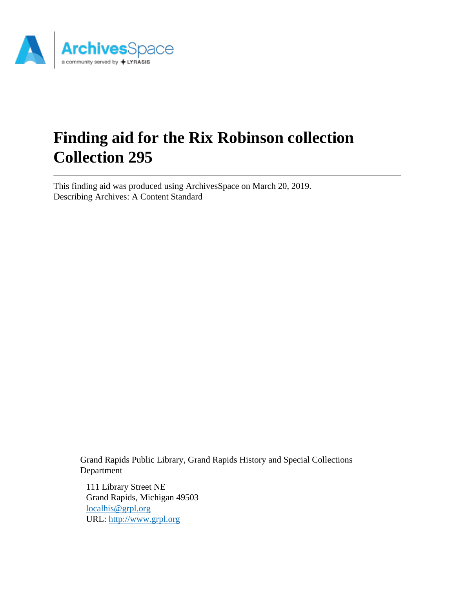

# **Finding aid for the Rix Robinson collection Collection 295**

This finding aid was produced using ArchivesSpace on March 20, 2019. Describing Archives: A Content Standard

> Grand Rapids Public Library, Grand Rapids History and Special Collections Department

111 Library Street NE Grand Rapids, Michigan 49503 [localhis@grpl.org](mailto:localhis@grpl.org) URL:<http://www.grpl.org>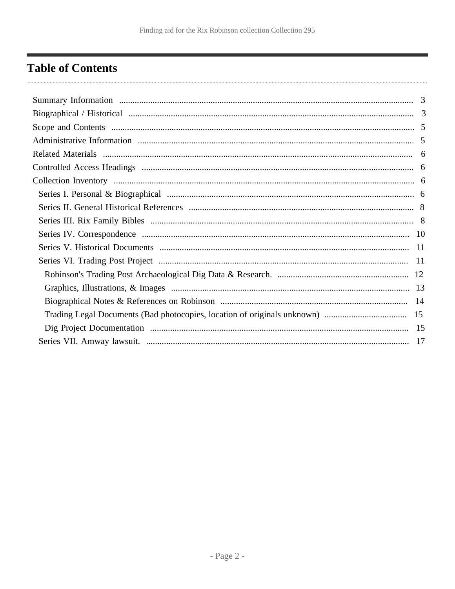# <span id="page-1-0"></span>**Table of Contents**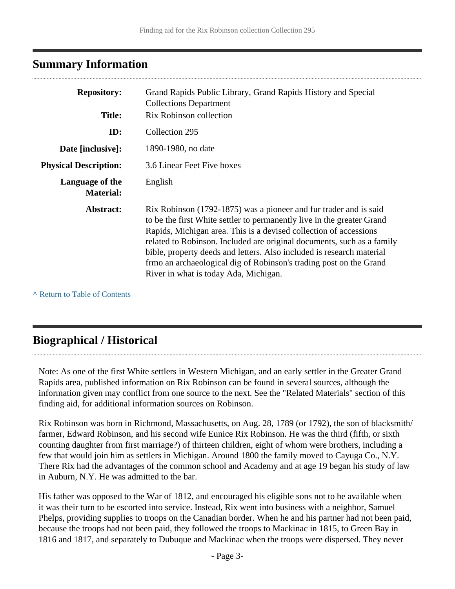# <span id="page-2-0"></span>**Summary Information**

| <b>Repository:</b>                  | Grand Rapids Public Library, Grand Rapids History and Special<br><b>Collections Department</b>                                                                                                                                                                                                                                                                                                                                                                                     |
|-------------------------------------|------------------------------------------------------------------------------------------------------------------------------------------------------------------------------------------------------------------------------------------------------------------------------------------------------------------------------------------------------------------------------------------------------------------------------------------------------------------------------------|
| <b>Title:</b>                       | Rix Robinson collection                                                                                                                                                                                                                                                                                                                                                                                                                                                            |
| ID:                                 | Collection 295                                                                                                                                                                                                                                                                                                                                                                                                                                                                     |
| Date [inclusive]:                   | 1890-1980, no date                                                                                                                                                                                                                                                                                                                                                                                                                                                                 |
| <b>Physical Description:</b>        | 3.6 Linear Feet Five boxes                                                                                                                                                                                                                                                                                                                                                                                                                                                         |
| Language of the<br><b>Material:</b> | English                                                                                                                                                                                                                                                                                                                                                                                                                                                                            |
| Abstract:                           | Rix Robinson (1792-1875) was a pioneer and fur trader and is said<br>to be the first White settler to permanently live in the greater Grand<br>Rapids, Michigan area. This is a devised collection of accessions<br>related to Robinson. Included are original documents, such as a family<br>bible, property deeds and letters. Also included is research material<br>frmo an archaeological dig of Robinson's trading post on the Grand<br>River in what is today Ada, Michigan. |

**^** [Return to Table of Contents](#page-1-0)

# <span id="page-2-1"></span>**Biographical / Historical**

Note: As one of the first White settlers in Western Michigan, and an early settler in the Greater Grand Rapids area, published information on Rix Robinson can be found in several sources, although the information given may conflict from one source to the next. See the "Related Materials" section of this finding aid, for additional information sources on Robinson.

Rix Robinson was born in Richmond, Massachusetts, on Aug. 28, 1789 (or 1792), the son of blacksmith/ farmer, Edward Robinson, and his second wife Eunice Rix Robinson. He was the third (fifth, or sixth counting daughter from first marriage?) of thirteen children, eight of whom were brothers, including a few that would join him as settlers in Michigan. Around 1800 the family moved to Cayuga Co., N.Y. There Rix had the advantages of the common school and Academy and at age 19 began his study of law in Auburn, N.Y. He was admitted to the bar.

His father was opposed to the War of 1812, and encouraged his eligible sons not to be available when it was their turn to be escorted into service. Instead, Rix went into business with a neighbor, Samuel Phelps, providing supplies to troops on the Canadian border. When he and his partner had not been paid, because the troops had not been paid, they followed the troops to Mackinac in 1815, to Green Bay in 1816 and 1817, and separately to Dubuque and Mackinac when the troops were dispersed. They never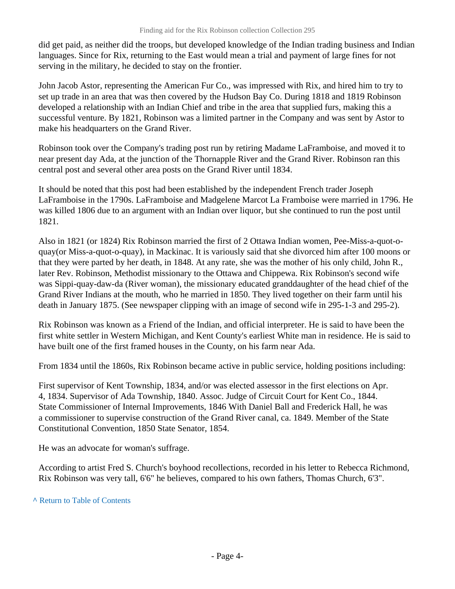did get paid, as neither did the troops, but developed knowledge of the Indian trading business and Indian languages. Since for Rix, returning to the East would mean a trial and payment of large fines for not serving in the military, he decided to stay on the frontier.

John Jacob Astor, representing the American Fur Co., was impressed with Rix, and hired him to try to set up trade in an area that was then covered by the Hudson Bay Co. During 1818 and 1819 Robinson developed a relationship with an Indian Chief and tribe in the area that supplied furs, making this a successful venture. By 1821, Robinson was a limited partner in the Company and was sent by Astor to make his headquarters on the Grand River.

Robinson took over the Company's trading post run by retiring Madame LaFramboise, and moved it to near present day Ada, at the junction of the Thornapple River and the Grand River. Robinson ran this central post and several other area posts on the Grand River until 1834.

It should be noted that this post had been established by the independent French trader Joseph LaFramboise in the 1790s. LaFramboise and Madgelene Marcot La Framboise were married in 1796. He was killed 1806 due to an argument with an Indian over liquor, but she continued to run the post until 1821.

Also in 1821 (or 1824) Rix Robinson married the first of 2 Ottawa Indian women, Pee-Miss-a-quot-oquay(or Miss-a-quot-o-quay), in Mackinac. It is variously said that she divorced him after 100 moons or that they were parted by her death, in 1848. At any rate, she was the mother of his only child, John R., later Rev. Robinson, Methodist missionary to the Ottawa and Chippewa. Rix Robinson's second wife was Sippi-quay-daw-da (River woman), the missionary educated granddaughter of the head chief of the Grand River Indians at the mouth, who he married in 1850. They lived together on their farm until his death in January 1875. (See newspaper clipping with an image of second wife in 295-1-3 and 295-2).

Rix Robinson was known as a Friend of the Indian, and official interpreter. He is said to have been the first white settler in Western Michigan, and Kent County's earliest White man in residence. He is said to have built one of the first framed houses in the County, on his farm near Ada.

From 1834 until the 1860s, Rix Robinson became active in public service, holding positions including:

First supervisor of Kent Township, 1834, and/or was elected assessor in the first elections on Apr. 4, 1834. Supervisor of Ada Township, 1840. Assoc. Judge of Circuit Court for Kent Co., 1844. State Commissioner of Internal Improvements, 1846 With Daniel Ball and Frederick Hall, he was a commissioner to supervise construction of the Grand River canal, ca. 1849. Member of the State Constitutional Convention, 1850 State Senator, 1854.

He was an advocate for woman's suffrage.

According to artist Fred S. Church's boyhood recollections, recorded in his letter to Rebecca Richmond, Rix Robinson was very tall, 6'6" he believes, compared to his own fathers, Thomas Church, 6'3".

### **^** [Return to Table of Contents](#page-1-0)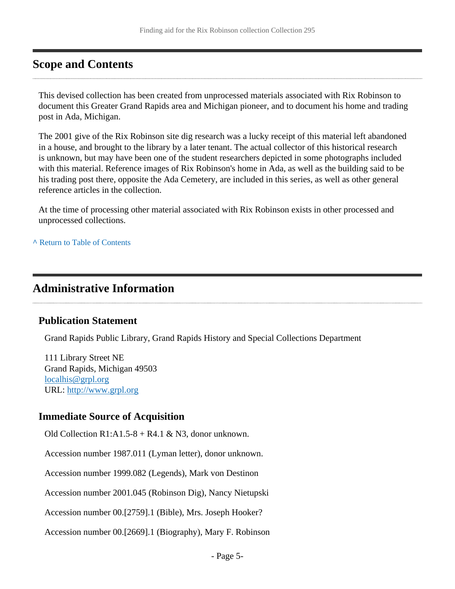# <span id="page-4-0"></span>**Scope and Contents**

This devised collection has been created from unprocessed materials associated with Rix Robinson to document this Greater Grand Rapids area and Michigan pioneer, and to document his home and trading post in Ada, Michigan.

The 2001 give of the Rix Robinson site dig research was a lucky receipt of this material left abandoned in a house, and brought to the library by a later tenant. The actual collector of this historical research is unknown, but may have been one of the student researchers depicted in some photographs included with this material. Reference images of Rix Robinson's home in Ada, as well as the building said to be his trading post there, opposite the Ada Cemetery, are included in this series, as well as other general reference articles in the collection.

At the time of processing other material associated with Rix Robinson exists in other processed and unprocessed collections.

**^** [Return to Table of Contents](#page-1-0)

# <span id="page-4-1"></span>**Administrative Information**

### **Publication Statement**

Grand Rapids Public Library, Grand Rapids History and Special Collections Department

111 Library Street NE Grand Rapids, Michigan 49503 [localhis@grpl.org](mailto:localhis@grpl.org) URL:<http://www.grpl.org>

### **Immediate Source of Acquisition**

Old Collection R1:A1.5-8 + R4.1 & N3, donor unknown.

Accession number 1987.011 (Lyman letter), donor unknown.

Accession number 1999.082 (Legends), Mark von Destinon

Accession number 2001.045 (Robinson Dig), Nancy Nietupski

Accession number 00.[2759].1 (Bible), Mrs. Joseph Hooker?

Accession number 00.[2669].1 (Biography), Mary F. Robinson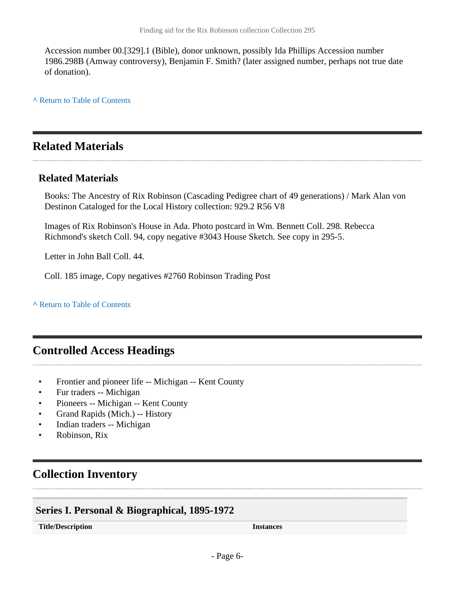Accession number 00.[329].1 (Bible), donor unknown, possibly Ida Phillips Accession number 1986.298B (Amway controversy), Benjamin F. Smith? (later assigned number, perhaps not true date of donation).

**^** [Return to Table of Contents](#page-1-0)

# <span id="page-5-0"></span>**Related Materials**

### **Related Materials**

Books: The Ancestry of Rix Robinson (Cascading Pedigree chart of 49 generations) / Mark Alan von Destinon Cataloged for the Local History collection: 929.2 R56 V8

Images of Rix Robinson's House in Ada. Photo postcard in Wm. Bennett Coll. 298. Rebecca Richmond's sketch Coll. 94, copy negative #3043 House Sketch. See copy in 295-5.

Letter in John Ball Coll. 44.

Coll. 185 image, Copy negatives #2760 Robinson Trading Post

**^** [Return to Table of Contents](#page-1-0)

# <span id="page-5-1"></span>**Controlled Access Headings**

- Frontier and pioneer life -- Michigan -- Kent County
- Fur traders -- Michigan
- Pioneers -- Michigan -- Kent County
- Grand Rapids (Mich.) -- History
- Indian traders -- Michigan
- Robinson, Rix

# <span id="page-5-2"></span>**Collection Inventory**

### <span id="page-5-3"></span>**Series I. Personal & Biographical, 1895-1972**

**Title/Description Instances**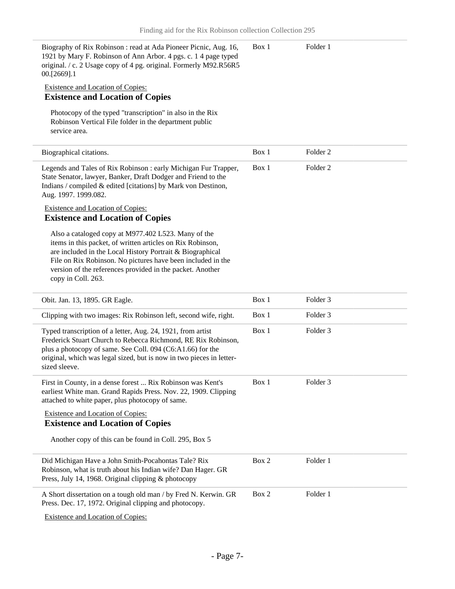| Biography of Rix Robinson: read at Ada Pioneer Picnic, Aug. 16,<br>1921 by Mary F. Robinson of Ann Arbor. 4 pgs. c. 1 4 page typed<br>original. / c. 2 Usage copy of 4 pg. original. Formerly M92.R56R5<br>00.[2669].1                                                                                                           | Box 1 | Folder 1            |  |
|----------------------------------------------------------------------------------------------------------------------------------------------------------------------------------------------------------------------------------------------------------------------------------------------------------------------------------|-------|---------------------|--|
| <b>Existence and Location of Copies:</b>                                                                                                                                                                                                                                                                                         |       |                     |  |
| <b>Existence and Location of Copies</b>                                                                                                                                                                                                                                                                                          |       |                     |  |
| Photocopy of the typed "transcription" in also in the Rix<br>Robinson Vertical File folder in the department public<br>service area.                                                                                                                                                                                             |       |                     |  |
| Biographical citations.                                                                                                                                                                                                                                                                                                          | Box 1 | Folder <sub>2</sub> |  |
| Legends and Tales of Rix Robinson : early Michigan Fur Trapper,<br>State Senator, lawyer, Banker, Draft Dodger and Friend to the<br>Indians / compiled & edited [citations] by Mark von Destinon,<br>Aug. 1997. 1999.082.                                                                                                        | Box 1 | Folder <sub>2</sub> |  |
| <b>Existence and Location of Copies:</b><br><b>Existence and Location of Copies</b>                                                                                                                                                                                                                                              |       |                     |  |
| Also a cataloged copy at M977.402 L523. Many of the<br>items in this packet, of written articles on Rix Robinson,<br>are included in the Local History Portrait & Biographical<br>File on Rix Robinson. No pictures have been included in the<br>version of the references provided in the packet. Another<br>copy in Coll. 263. |       |                     |  |
| Obit. Jan. 13, 1895. GR Eagle.                                                                                                                                                                                                                                                                                                   | Box 1 | Folder 3            |  |
| Clipping with two images: Rix Robinson left, second wife, right.                                                                                                                                                                                                                                                                 | Box 1 | Folder 3            |  |
| Typed transcription of a letter, Aug. 24, 1921, from artist<br>Frederick Stuart Church to Rebecca Richmond, RE Rix Robinson,<br>plus a photocopy of same. See Coll. 094 (C6:A1.66) for the<br>original, which was legal sized, but is now in two pieces in letter-<br>sized sleeve.                                              | Box 1 | Folder <sub>3</sub> |  |
| First in County, in a dense forest  Rix Robinson was Kent's<br>earliest White man. Grand Rapids Press. Nov. 22, 1909. Clipping<br>attached to white paper, plus photocopy of same.                                                                                                                                               | Box 1 | Folder <sub>3</sub> |  |
| <b>Existence and Location of Copies:</b>                                                                                                                                                                                                                                                                                         |       |                     |  |
| <b>Existence and Location of Copies</b>                                                                                                                                                                                                                                                                                          |       |                     |  |
| Another copy of this can be found in Coll. 295, Box 5                                                                                                                                                                                                                                                                            |       |                     |  |
| Did Michigan Have a John Smith-Pocahontas Tale? Rix<br>Robinson, what is truth about his Indian wife? Dan Hager. GR<br>Press, July 14, 1968. Original clipping & photocopy                                                                                                                                                       | Box 2 | Folder 1            |  |
| A Short dissertation on a tough old man / by Fred N. Kerwin. GR<br>Press. Dec. 17, 1972. Original clipping and photocopy.                                                                                                                                                                                                        | Box 2 | Folder 1            |  |
| <b>Existence and Location of Copies:</b>                                                                                                                                                                                                                                                                                         |       |                     |  |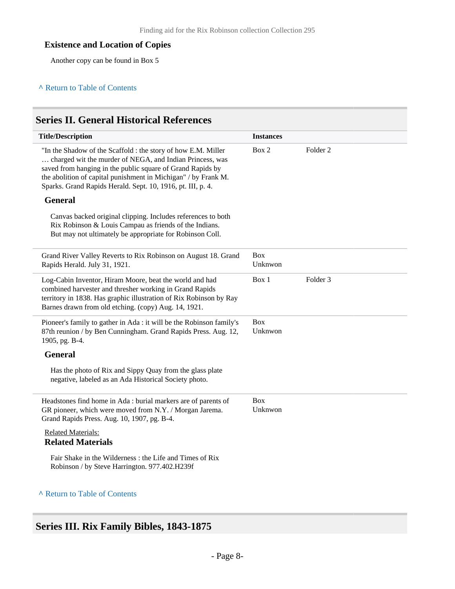### **Existence and Location of Copies**

Another copy can be found in Box 5

#### **^** [Return to Table of Contents](#page-1-0)

### <span id="page-7-0"></span>**Series II. General Historical References**

| <b>Title/Description</b>                                                                                                                                                                                                                                                                                                 | <b>Instances</b>      |                     |
|--------------------------------------------------------------------------------------------------------------------------------------------------------------------------------------------------------------------------------------------------------------------------------------------------------------------------|-----------------------|---------------------|
| "In the Shadow of the Scaffold : the story of how E.M. Miller<br>charged wit the murder of NEGA, and Indian Princess, was<br>saved from hanging in the public square of Grand Rapids by<br>the abolition of capital punishment in Michigan" / by Frank M.<br>Sparks. Grand Rapids Herald. Sept. 10, 1916, pt. III, p. 4. | Box 2                 | Folder <sub>2</sub> |
| <b>General</b>                                                                                                                                                                                                                                                                                                           |                       |                     |
| Canvas backed original clipping. Includes references to both<br>Rix Robinson & Louis Campau as friends of the Indians.<br>But may not ultimately be appropriate for Robinson Coll.                                                                                                                                       |                       |                     |
| Grand River Valley Reverts to Rix Robinson on August 18. Grand<br>Rapids Herald. July 31, 1921.                                                                                                                                                                                                                          | <b>Box</b><br>Unknwon |                     |
| Log-Cabin Inventor, Hiram Moore, beat the world and had<br>combined harvester and thresher working in Grand Rapids<br>territory in 1838. Has graphic illustration of Rix Robinson by Ray<br>Barnes drawn from old etching. (copy) Aug. 14, 1921.                                                                         | Box 1                 | Folder <sub>3</sub> |
| Pioneer's family to gather in Ada : it will be the Robinson family's<br>87th reunion / by Ben Cunningham. Grand Rapids Press. Aug. 12,<br>1905, pg. B-4.                                                                                                                                                                 | <b>Box</b><br>Unknwon |                     |
| <b>General</b>                                                                                                                                                                                                                                                                                                           |                       |                     |
| Has the photo of Rix and Sippy Quay from the glass plate<br>negative, labeled as an Ada Historical Society photo.                                                                                                                                                                                                        |                       |                     |
| Headstones find home in Ada: burial markers are of parents of<br>GR pioneer, which were moved from N.Y. / Morgan Jarema.<br>Grand Rapids Press. Aug. 10, 1907, pg. B-4.                                                                                                                                                  | <b>Box</b><br>Unknwon |                     |
| <b>Related Materials:</b><br><b>Related Materials</b>                                                                                                                                                                                                                                                                    |                       |                     |
| Fair Shake in the Wilderness: the Life and Times of Rix<br>Robinson / by Steve Harrington. 977.402.H239f                                                                                                                                                                                                                 |                       |                     |
| A Return to Table of Contents                                                                                                                                                                                                                                                                                            |                       |                     |

# <span id="page-7-1"></span>**Series III. Rix Family Bibles, 1843-1875**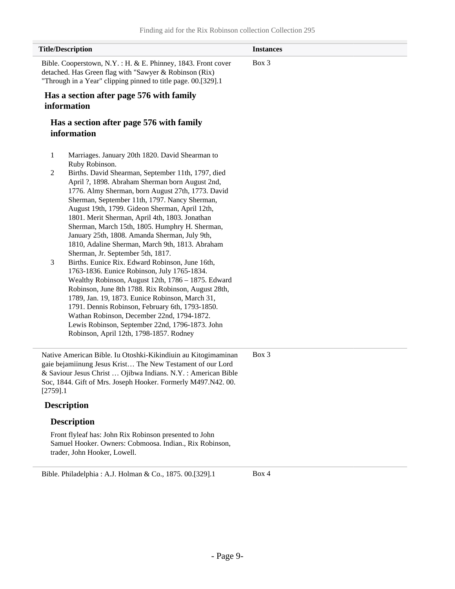|                                                                                                                                                                                         | <b>Title/Description</b>                                                                                                                                                                                                                                                                                                                                                                                                                                                                                                                                                                                                                                                                                                                                                     | <b>Instances</b> |
|-----------------------------------------------------------------------------------------------------------------------------------------------------------------------------------------|------------------------------------------------------------------------------------------------------------------------------------------------------------------------------------------------------------------------------------------------------------------------------------------------------------------------------------------------------------------------------------------------------------------------------------------------------------------------------------------------------------------------------------------------------------------------------------------------------------------------------------------------------------------------------------------------------------------------------------------------------------------------------|------------------|
| Bible. Cooperstown, N.Y.: H. & E. Phinney, 1843. Front cover<br>detached. Has Green flag with "Sawyer & Robinson (Rix)<br>"Through in a Year" clipping pinned to title page. 00.[329].1 |                                                                                                                                                                                                                                                                                                                                                                                                                                                                                                                                                                                                                                                                                                                                                                              | Box 3            |
|                                                                                                                                                                                         | Has a section after page 576 with family<br>information                                                                                                                                                                                                                                                                                                                                                                                                                                                                                                                                                                                                                                                                                                                      |                  |
|                                                                                                                                                                                         | Has a section after page 576 with family<br>information                                                                                                                                                                                                                                                                                                                                                                                                                                                                                                                                                                                                                                                                                                                      |                  |
| 1                                                                                                                                                                                       | Marriages. January 20th 1820. David Shearman to<br>Ruby Robinson.                                                                                                                                                                                                                                                                                                                                                                                                                                                                                                                                                                                                                                                                                                            |                  |
| $\overline{c}$<br>3                                                                                                                                                                     | Births. David Shearman, September 11th, 1797, died<br>April ?, 1898. Abraham Sherman born August 2nd,<br>1776. Almy Sherman, born August 27th, 1773. David<br>Sherman, September 11th, 1797. Nancy Sherman,<br>August 19th, 1799. Gideon Sherman, April 12th,<br>1801. Merit Sherman, April 4th, 1803. Jonathan<br>Sherman, March 15th, 1805. Humphry H. Sherman,<br>January 25th, 1808. Amanda Sherman, July 9th,<br>1810, Adaline Sherman, March 9th, 1813. Abraham<br>Sherman, Jr. September 5th, 1817.<br>Births. Eunice Rix. Edward Robinson, June 16th,<br>1763-1836. Eunice Robinson, July 1765-1834.<br>Wealthy Robinson, August 12th, 1786 - 1875. Edward<br>Robinson, June 8th 1788. Rix Robinson, August 28th,<br>1789, Jan. 19, 1873. Eunice Robinson, March 31, |                  |
|                                                                                                                                                                                         | 1791. Dennis Robinson, February 6th, 1793-1850.<br>Wathan Robinson, December 22nd, 1794-1872.<br>Lewis Robinson, September 22nd, 1796-1873. John<br>Robinson, April 12th, 1798-1857. Rodney                                                                                                                                                                                                                                                                                                                                                                                                                                                                                                                                                                                  |                  |
| $[2759]$ .1                                                                                                                                                                             | Native American Bible. Iu Otoshki-Kikindiuin au Kitogimaminan<br>gaie bejamiinung Jesus Krist The New Testament of our Lord<br>& Saviour Jesus Christ  Ojibwa Indians. N.Y. : American Bible<br>Soc, 1844. Gift of Mrs. Joseph Hooker. Formerly M497.N42. 00.                                                                                                                                                                                                                                                                                                                                                                                                                                                                                                                | Box 3            |
|                                                                                                                                                                                         | <b>Description</b>                                                                                                                                                                                                                                                                                                                                                                                                                                                                                                                                                                                                                                                                                                                                                           |                  |
|                                                                                                                                                                                         | <b>Description</b>                                                                                                                                                                                                                                                                                                                                                                                                                                                                                                                                                                                                                                                                                                                                                           |                  |
|                                                                                                                                                                                         | Front flyleaf has: John Rix Robinson presented to John<br>Samuel Hooker. Owners: Cobmoosa. Indian., Rix Robinson,                                                                                                                                                                                                                                                                                                                                                                                                                                                                                                                                                                                                                                                            |                  |

Bible. Philadelphia : A.J. Holman & Co., 1875. 00.[329].1 Box 4

trader, John Hooker, Lowell.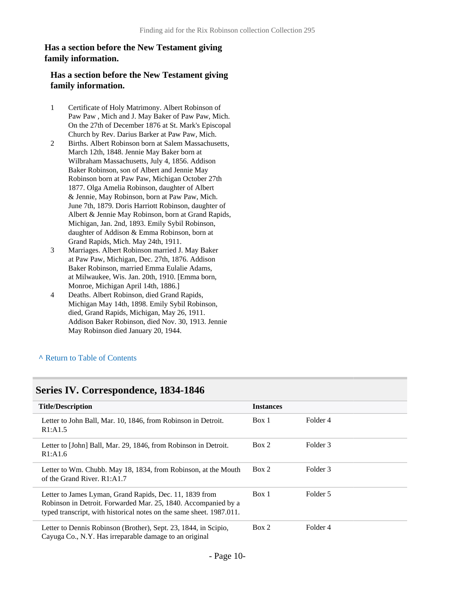### **Has a section before the New Testament giving family information.**

### **Has a section before the New Testament giving family information.**

- 1 Certificate of Holy Matrimony. Albert Robinson of Paw Paw , Mich and J. May Baker of Paw Paw, Mich. On the 27th of December 1876 at St. Mark's Episcopal Church by Rev. Darius Barker at Paw Paw, Mich.
- 2 Births. Albert Robinson born at Salem Massachusetts, March 12th, 1848. Jennie May Baker born at Wilbraham Massachusetts, July 4, 1856. Addison Baker Robinson, son of Albert and Jennie May Robinson born at Paw Paw, Michigan October 27th 1877. Olga Amelia Robinson, daughter of Albert & Jennie, May Robinson, born at Paw Paw, Mich. June 7th, 1879. Doris Harriott Robinson, daughter of Albert & Jennie May Robinson, born at Grand Rapids, Michigan, Jan. 2nd, 1893. Emily Sybil Robinson, daughter of Addison & Emma Robinson, born at Grand Rapids, Mich. May 24th, 1911.
- 3 Marriages. Albert Robinson married J. May Baker at Paw Paw, Michigan, Dec. 27th, 1876. Addison Baker Robinson, married Emma Eulalie Adams, at Milwaukee, Wis. Jan. 20th, 1910. [Emma born, Monroe, Michigan April 14th, 1886.]
- 4 Deaths. Albert Robinson, died Grand Rapids, Michigan May 14th, 1898. Emily Sybil Robinson, died, Grand Rapids, Michigan, May 26, 1911. Addison Baker Robinson, died Nov. 30, 1913. Jennie May Robinson died January 20, 1944.

#### **^** [Return to Table of Contents](#page-1-0)

### <span id="page-9-0"></span>**Series IV. Correspondence, 1834-1846**

| <b>Title/Description</b>                                                                                                                                                                          | <b>Instances</b>  |
|---------------------------------------------------------------------------------------------------------------------------------------------------------------------------------------------------|-------------------|
| Letter to John Ball, Mar. 10, 1846, from Robinson in Detroit.                                                                                                                                     | Folder 4          |
| R1: A1.5                                                                                                                                                                                          | Box 1             |
| Letter to [John] Ball, Mar. 29, 1846, from Robinson in Detroit.                                                                                                                                   | Folder 3          |
| R1:AI.6                                                                                                                                                                                           | Box 2             |
| Letter to Wm. Chubb. May 18, 1834, from Robinson, at the Mouth                                                                                                                                    | Folder 3          |
| of the Grand River, R1:A1.7                                                                                                                                                                       | Box 2             |
| Letter to James Lyman, Grand Rapids, Dec. 11, 1839 from<br>Robinson in Detroit. Forwarded Mar. 25, 1840. Accompanied by a<br>typed transcript, with historical notes on the same sheet. 1987.011. | Folder 5<br>Box 1 |
| Letter to Dennis Robinson (Brother), Sept. 23, 1844, in Scipio,                                                                                                                                   | Box 2             |
| Cayuga Co., N.Y. Has irreparable damage to an original                                                                                                                                            | Folder 4          |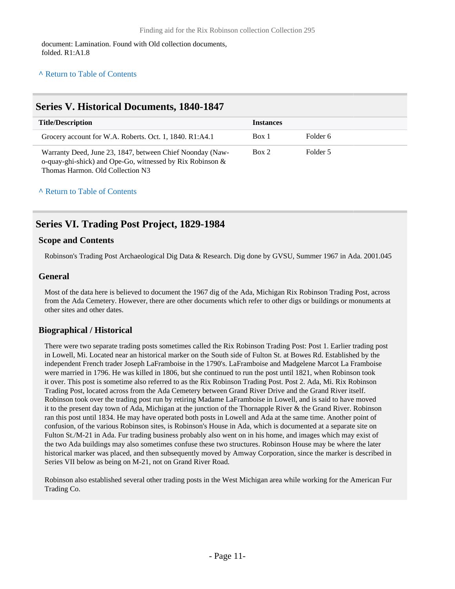document: Lamination. Found with Old collection documents, folded. R1:A1.8

#### **^** [Return to Table of Contents](#page-1-0)

### <span id="page-10-0"></span>**Series V. Historical Documents, 1840-1847**

| <b>Title/Description</b>                                                                                                                                      | <b>Instances</b> |          |
|---------------------------------------------------------------------------------------------------------------------------------------------------------------|------------------|----------|
| Grocery account for W.A. Roberts. Oct. 1, 1840. R1:A4.1                                                                                                       | Box 1            | Folder 6 |
| Warranty Deed, June 23, 1847, between Chief Noonday (Naw-<br>o-quay-ghi-shick) and Ope-Go, witnessed by Rix Robinson $\&$<br>Thomas Harmon. Old Collection N3 | Box 2            | Folder 5 |

#### **^** [Return to Table of Contents](#page-1-0)

### <span id="page-10-1"></span>**Series VI. Trading Post Project, 1829-1984**

#### **Scope and Contents**

Robinson's Trading Post Archaeological Dig Data & Research. Dig done by GVSU, Summer 1967 in Ada. 2001.045

#### **General**

Most of the data here is believed to document the 1967 dig of the Ada, Michigan Rix Robinson Trading Post, across from the Ada Cemetery. However, there are other documents which refer to other digs or buildings or monuments at other sites and other dates.

### **Biographical / Historical**

There were two separate trading posts sometimes called the Rix Robinson Trading Post: Post 1. Earlier trading post in Lowell, Mi. Located near an historical marker on the South side of Fulton St. at Bowes Rd. Established by the independent French trader Joseph LaFramboise in the 1790's. LaFramboise and Madgelene Marcot La Framboise were married in 1796. He was killed in 1806, but she continued to run the post until 1821, when Robinson took it over. This post is sometime also referred to as the Rix Robinson Trading Post. Post 2. Ada, Mi. Rix Robinson Trading Post, located across from the Ada Cemetery between Grand River Drive and the Grand River itself. Robinson took over the trading post run by retiring Madame LaFramboise in Lowell, and is said to have moved it to the present day town of Ada, Michigan at the junction of the Thornapple River & the Grand River. Robinson ran this post until 1834. He may have operated both posts in Lowell and Ada at the same time. Another point of confusion, of the various Robinson sites, is Robinson's House in Ada, which is documented at a separate site on Fulton St./M-21 in Ada. Fur trading business probably also went on in his home, and images which may exist of the two Ada buildings may also sometimes confuse these two structures. Robinson House may be where the later historical marker was placed, and then subsequently moved by Amway Corporation, since the marker is described in Series VII below as being on M-21, not on Grand River Road.

Robinson also established several other trading posts in the West Michigan area while working for the American Fur Trading Co.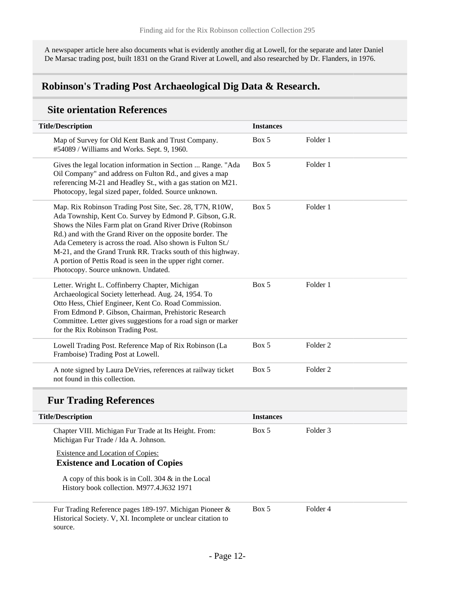A newspaper article here also documents what is evidently another dig at Lowell, for the separate and later Daniel De Marsac trading post, built 1831 on the Grand River at Lowell, and also researched by Dr. Flanders, in 1976.

### <span id="page-11-0"></span>**Robinson's Trading Post Archaeological Dig Data & Research.**

### **Site orientation References**

| <b>Title/Description</b>                                                                                                                                                                                                                                                                                                                                                                                                                                                        | <b>Instances</b> |                     |  |
|---------------------------------------------------------------------------------------------------------------------------------------------------------------------------------------------------------------------------------------------------------------------------------------------------------------------------------------------------------------------------------------------------------------------------------------------------------------------------------|------------------|---------------------|--|
| Map of Survey for Old Kent Bank and Trust Company.<br>#54089 / Williams and Works. Sept. 9, 1960.                                                                                                                                                                                                                                                                                                                                                                               | Box 5            | Folder 1            |  |
| Gives the legal location information in Section  Range. "Ada<br>Oil Company" and address on Fulton Rd., and gives a map<br>referencing M-21 and Headley St., with a gas station on M21.<br>Photocopy, legal sized paper, folded. Source unknown.                                                                                                                                                                                                                                | Box 5            | Folder 1            |  |
| Map. Rix Robinson Trading Post Site, Sec. 28, T7N, R10W,<br>Ada Township, Kent Co. Survey by Edmond P. Gibson, G.R.<br>Shows the Niles Farm plat on Grand River Drive (Robinson<br>Rd.) and with the Grand River on the opposite border. The<br>Ada Cemetery is across the road. Also shown is Fulton St./<br>M-21, and the Grand Trunk RR. Tracks south of this highway.<br>A portion of Pettis Road is seen in the upper right corner.<br>Photocopy. Source unknown. Undated. | Box 5            | Folder 1            |  |
| Letter. Wright L. Coffinberry Chapter, Michigan<br>Archaeological Society letterhead. Aug. 24, 1954. To<br>Otto Hess, Chief Engineer, Kent Co. Road Commission.<br>From Edmond P. Gibson, Chairman, Prehistoric Research<br>Committee. Letter gives suggestions for a road sign or marker<br>for the Rix Robinson Trading Post.                                                                                                                                                 | Box 5            | Folder 1            |  |
| Lowell Trading Post. Reference Map of Rix Robinson (La<br>Framboise) Trading Post at Lowell.                                                                                                                                                                                                                                                                                                                                                                                    | Box 5            | Folder <sub>2</sub> |  |
| A note signed by Laura DeVries, references at railway ticket<br>not found in this collection.                                                                                                                                                                                                                                                                                                                                                                                   | Box 5            | Folder <sub>2</sub> |  |
| <b>Fur Trading References</b>                                                                                                                                                                                                                                                                                                                                                                                                                                                   |                  |                     |  |
| <b>Title/Description</b>                                                                                                                                                                                                                                                                                                                                                                                                                                                        | <b>Instances</b> |                     |  |
| Chapter VIII. Michigan Fur Trade at Its Height. From:<br>Michigan Fur Trade / Ida A. Johnson.                                                                                                                                                                                                                                                                                                                                                                                   | Box 5            | Folder <sub>3</sub> |  |
| <b>Existence and Location of Copies:</b><br><b>Existence and Location of Copies</b>                                                                                                                                                                                                                                                                                                                                                                                             |                  |                     |  |
| A copy of this book is in Coll. 304 & in the Local<br>History book collection. M977.4.J632 1971                                                                                                                                                                                                                                                                                                                                                                                 |                  |                     |  |
| Fur Trading Reference pages 189-197. Michigan Pioneer &<br>Historical Society. V, XI. Incomplete or unclear citation to<br>source.                                                                                                                                                                                                                                                                                                                                              | Box 5            | Folder 4            |  |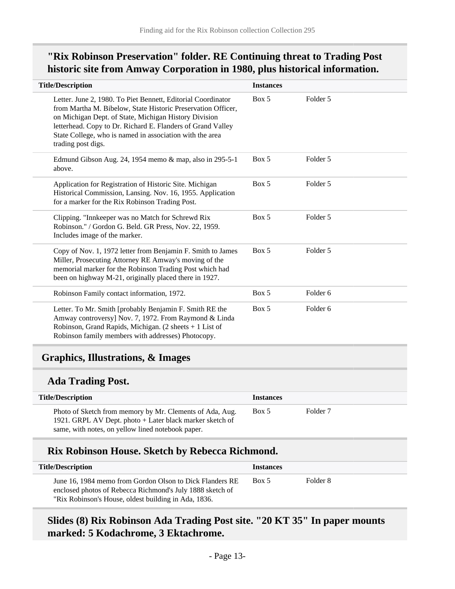# **"Rix Robinson Preservation" folder. RE Continuing threat to Trading Post historic site from Amway Corporation in 1980, plus historical information.**

| <b>Title/Description</b>                                                                                                                                                                                                                                                                                                               | <b>Instances</b> |                     |
|----------------------------------------------------------------------------------------------------------------------------------------------------------------------------------------------------------------------------------------------------------------------------------------------------------------------------------------|------------------|---------------------|
| Letter. June 2, 1980. To Piet Bennett, Editorial Coordinator<br>from Martha M. Bibelow, State Historic Preservation Officer,<br>on Michigan Dept. of State, Michigan History Division<br>letterhead. Copy to Dr. Richard E. Flanders of Grand Valley<br>State College, who is named in association with the area<br>trading post digs. | Box 5            | Folder 5            |
| Edmund Gibson Aug. 24, 1954 memo & map, also in 295-5-1<br>above.                                                                                                                                                                                                                                                                      | Box 5            | Folder 5            |
| Application for Registration of Historic Site. Michigan<br>Historical Commission, Lansing. Nov. 16, 1955. Application<br>for a marker for the Rix Robinson Trading Post.                                                                                                                                                               | Box 5            | Folder 5            |
| Clipping. "Innkeeper was no Match for Schrewd Rix<br>Robinson." / Gordon G. Beld. GR Press, Nov. 22, 1959.<br>Includes image of the marker.                                                                                                                                                                                            | Box 5            | Folder 5            |
| Copy of Nov. 1, 1972 letter from Benjamin F. Smith to James<br>Miller, Prosecuting Attorney RE Amway's moving of the<br>memorial marker for the Robinson Trading Post which had<br>been on highway M-21, originally placed there in 1927.                                                                                              | Box 5            | Folder 5            |
| Robinson Family contact information, 1972.                                                                                                                                                                                                                                                                                             | Box 5            | Folder <sub>6</sub> |
| Letter. To Mr. Smith [probably Benjamin F. Smith RE the<br>Amway controversy] Nov. 7, 1972. From Raymond & Linda<br>Robinson, Grand Rapids, Michigan. $(2 \text{ sheets} + 1 \text{ List of})$<br>Robinson family members with addresses) Photocopy.                                                                                   | Box 5            | Folder <sub>6</sub> |
| <b>Graphics, Illustrations, &amp; Images</b>                                                                                                                                                                                                                                                                                           |                  |                     |
| <b>Ada Trading Post.</b>                                                                                                                                                                                                                                                                                                               |                  |                     |

<span id="page-12-0"></span>

| <b>Title/Description</b>                                                                                                                                                  | <b>Instances</b> |                     |
|---------------------------------------------------------------------------------------------------------------------------------------------------------------------------|------------------|---------------------|
| Photo of Sketch from memory by Mr. Clements of Ada, Aug.<br>1921. GRPL AV Dept. photo + Later black marker sketch of<br>same, with notes, on yellow lined notebook paper. | Box 5            | Folder <sub>7</sub> |

### **Rix Robinson House. Sketch by Rebecca Richmond.**

| <b>Title/Description</b>                                                                                                                                                      | <b>Instances</b> |          |
|-------------------------------------------------------------------------------------------------------------------------------------------------------------------------------|------------------|----------|
| June 16, 1984 memo from Gordon Olson to Dick Flanders RE<br>enclosed photos of Rebecca Richmond's July 1888 sketch of<br>"Rix Robinson's House, oldest building in Ada, 1836. | Box 5            | Folder 8 |

# **Slides (8) Rix Robinson Ada Trading Post site. "20 KT 35" In paper mounts marked: 5 Kodachrome, 3 Ektachrome.**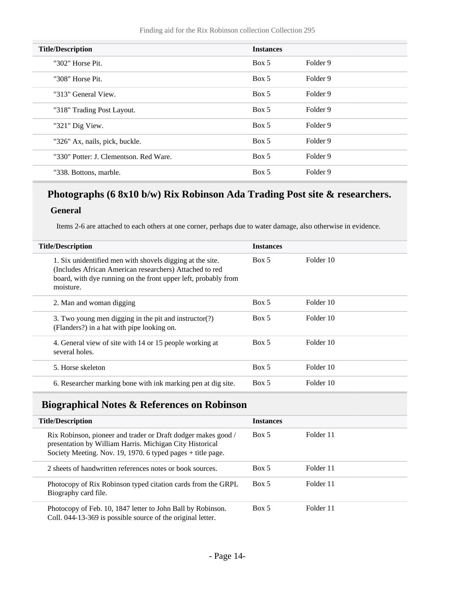| <b>Title/Description</b>               | <b>Instances</b> |                     |
|----------------------------------------|------------------|---------------------|
| "302" Horse Pit.                       | Box 5            | Folder 9            |
| "308" Horse Pit.                       | Box 5            | Folder 9            |
| "313" General View.                    | Box 5            | Folder 9            |
| "318" Trading Post Layout.             | Box 5            | Folder 9            |
| "321" Dig View.                        | Box 5            | Folder 9            |
| "326" Ax, nails, pick, buckle.         | Box 5            | Folder <sub>9</sub> |
| "330" Potter: J. Clementson. Red Ware. | Box 5            | Folder 9            |
| "338. Bottons, marble.                 | Box 5            | Folder 9            |

# **Photographs (6 8x10 b/w) Rix Robinson Ada Trading Post site & researchers.**

### **General**

Items 2-6 are attached to each others at one corner, perhaps due to water damage, also otherwise in evidence.

| <b>Title/Description</b>                                                                                                                                                                            | <b>Instances</b> |           |  |
|-----------------------------------------------------------------------------------------------------------------------------------------------------------------------------------------------------|------------------|-----------|--|
| 1. Six unidentified men with shovels digging at the site.<br>(Includes African American researchers) Attached to red<br>board, with dye running on the front upper left, probably from<br>moisture. | Box 5            | Folder 10 |  |
| 2. Man and woman digging                                                                                                                                                                            | Box 5            | Folder 10 |  |
| 3. Two young men digging in the pit and instructor $(?)$<br>(Flanders?) in a hat with pipe looking on.                                                                                              | Box 5            | Folder 10 |  |
| 4. General view of site with 14 or 15 people working at<br>several holes.                                                                                                                           | Box 5            | Folder 10 |  |
| 5. Horse skeleton                                                                                                                                                                                   | Box 5            | Folder 10 |  |
| 6. Researcher marking bone with ink marking pen at dig site.                                                                                                                                        | Box 5            | Folder 10 |  |

# <span id="page-13-0"></span>**Biographical Notes & References on Robinson**

| <b>Title/Description</b>                                                                                                                                                                   | <b>Instances</b> |           |  |
|--------------------------------------------------------------------------------------------------------------------------------------------------------------------------------------------|------------------|-----------|--|
| Rix Robinson, pioneer and trader or Draft dodger makes good /<br>presentation by William Harris. Michigan City Historical<br>Society Meeting. Nov. 19, 1970. 6 typed pages $+$ title page. | Box 5            | Folder 11 |  |
| 2 sheets of handwritten references notes or book sources.                                                                                                                                  | Box 5            | Folder 11 |  |
| Photocopy of Rix Robinson typed citation cards from the GRPL<br>Biography card file.                                                                                                       | Box 5            | Folder 11 |  |
| Photocopy of Feb. 10, 1847 letter to John Ball by Robinson.<br>Coll. 044-13-369 is possible source of the original letter.                                                                 | Box 5            | Folder 11 |  |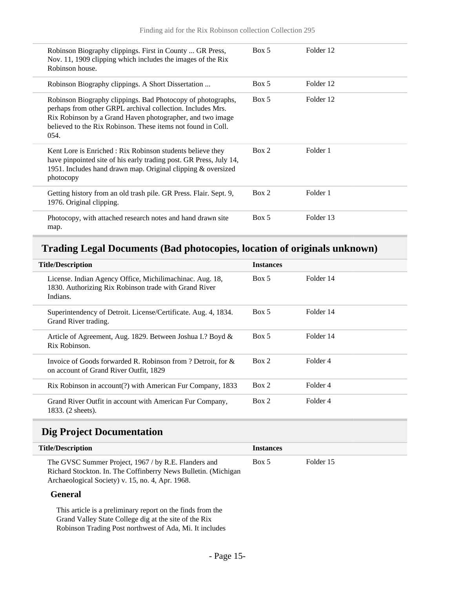| Robinson Biography clippings. First in County  GR Press,<br>Nov. 11, 1909 clipping which includes the images of the Rix<br>Robinson house.                                                                                                                     | Box 5 | Folder 12 |
|----------------------------------------------------------------------------------------------------------------------------------------------------------------------------------------------------------------------------------------------------------------|-------|-----------|
| Robinson Biography clippings. A Short Dissertation                                                                                                                                                                                                             | Box 5 | Folder 12 |
| Robinson Biography clippings. Bad Photocopy of photographs,<br>perhaps from other GRPL archival collection. Includes Mrs.<br>Rix Robinson by a Grand Haven photographer, and two image<br>believed to the Rix Robinson. These items not found in Coll.<br>054. | Box 5 | Folder 12 |
| Kent Lore is Enriched : Rix Robinson students believe they<br>have pinpointed site of his early trading post. GR Press, July 14,<br>1951. Includes hand drawn map. Original clipping & oversized<br>photocopy                                                  | Box 2 | Folder 1  |
| Getting history from an old trash pile. GR Press. Flair. Sept. 9,<br>1976. Original clipping.                                                                                                                                                                  | Box 2 | Folder 1  |
| Photocopy, with attached research notes and hand drawn site<br>map.                                                                                                                                                                                            | Box 5 | Folder 13 |

### <span id="page-14-0"></span>**Trading Legal Documents (Bad photocopies, location of originals unknown)**

| <b>Title/Description</b>                                                                                                      | <b>Instances</b> |           |  |  |
|-------------------------------------------------------------------------------------------------------------------------------|------------------|-----------|--|--|
| License. Indian Agency Office, Michilimachinac. Aug. 18,<br>1830. Authorizing Rix Robinson trade with Grand River<br>Indians. | Box 5            | Folder 14 |  |  |
| Superintendency of Detroit. License/Certificate. Aug. 4, 1834.<br>Grand River trading.                                        | Box 5            | Folder 14 |  |  |
| Article of Agreement, Aug. 1829. Between Joshua I.? Boyd &<br>Rix Robinson.                                                   | Box 5            | Folder 14 |  |  |
| Invoice of Goods forwarded R. Robinson from ? Detroit, for $\&$<br>on account of Grand River Outfit, 1829                     | Box 2            | Folder 4  |  |  |
| Rix Robinson in account(?) with American Fur Company, 1833                                                                    | Box 2            | Folder 4  |  |  |
| Grand River Outfit in account with American Fur Company,<br>1833. (2 sheets).                                                 | Box 2            | Folder 4  |  |  |

### <span id="page-14-1"></span>**Dig Project Documentation**

| <b>Title/Description</b>                                                                                                                                                   | <b>Instances</b> |           |  |
|----------------------------------------------------------------------------------------------------------------------------------------------------------------------------|------------------|-----------|--|
| The GVSC Summer Project, 1967 / by R.E. Flanders and<br>Richard Stockton. In. The Coffinberry News Bulletin. (Michigan<br>Archaeological Society) v. 15, no. 4, Apr. 1968. | Box 5            | Folder 15 |  |

### **General**

This article is a preliminary report on the finds from the Grand Valley State College dig at the site of the Rix Robinson Trading Post northwest of Ada, Mi. It includes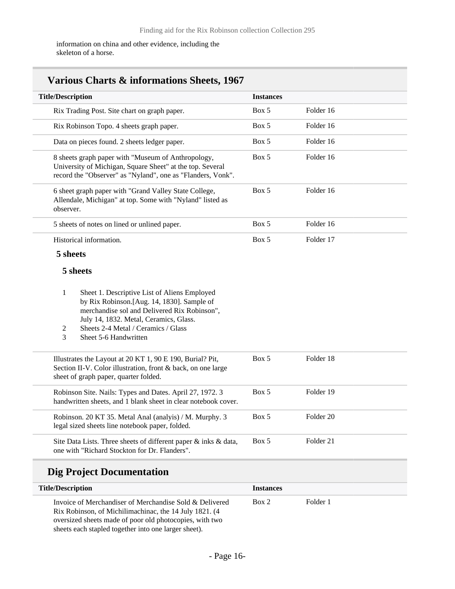information on china and other evidence, including the skeleton of a horse.

| <b>Title/Description</b>                                                                                                                                                                                                                                            | <b>Instances</b> |           |
|---------------------------------------------------------------------------------------------------------------------------------------------------------------------------------------------------------------------------------------------------------------------|------------------|-----------|
| Rix Trading Post. Site chart on graph paper.                                                                                                                                                                                                                        | Box 5            | Folder 16 |
| Rix Robinson Topo. 4 sheets graph paper.                                                                                                                                                                                                                            | Box 5            | Folder 16 |
| Data on pieces found. 2 sheets ledger paper.                                                                                                                                                                                                                        | Box 5            | Folder 16 |
| 8 sheets graph paper with "Museum of Anthropology,<br>University of Michigan, Square Sheet" at the top. Several<br>record the "Observer" as "Nyland", one as "Flanders, Vonk".                                                                                      | Box 5            | Folder 16 |
| 6 sheet graph paper with "Grand Valley State College,<br>Allendale, Michigan" at top. Some with "Nyland" listed as<br>observer.                                                                                                                                     | Box 5            | Folder 16 |
| 5 sheets of notes on lined or unlined paper.                                                                                                                                                                                                                        | Box 5            | Folder 16 |
| Historical information.                                                                                                                                                                                                                                             | Box 5            | Folder 17 |
| 5 sheets                                                                                                                                                                                                                                                            |                  |           |
| 5 sheets                                                                                                                                                                                                                                                            |                  |           |
| Sheet 1. Descriptive List of Aliens Employed<br>1<br>by Rix Robinson.[Aug. 14, 1830]. Sample of<br>merchandise sol and Delivered Rix Robinson",<br>July 14, 1832. Metal, Ceramics, Glass.<br>Sheets 2-4 Metal / Ceramics / Glass<br>2<br>Sheet 5-6 Handwritten<br>3 |                  |           |
| Illustrates the Layout at 20 KT 1, 90 E 190, Burial? Pit,<br>Section II-V. Color illustration, front & back, on one large<br>sheet of graph paper, quarter folded.                                                                                                  | Box 5            | Folder 18 |
| Robinson Site. Nails: Types and Dates. April 27, 1972. 3<br>handwritten sheets, and 1 blank sheet in clear notebook cover.                                                                                                                                          | Box 5            | Folder 19 |
| Robinson. 20 KT 35. Metal Anal (analyis) / M. Murphy. 3<br>legal sized sheets line notebook paper, folded.                                                                                                                                                          | Box 5            | Folder 20 |
| Site Data Lists. Three sheets of different paper & inks & data,                                                                                                                                                                                                     | Box 5            | Folder 21 |

# **Dig Project Documentation**

| <b>Title/Description</b>                                                                                                                                                                                                              | <b>Instances</b> |          |  |
|---------------------------------------------------------------------------------------------------------------------------------------------------------------------------------------------------------------------------------------|------------------|----------|--|
| Invoice of Merchandiser of Merchandise Sold & Delivered<br>Rix Robinson, of Michilimachinac, the 14 July 1821. (4)<br>oversized sheets made of poor old photocopies, with two<br>sheets each stapled together into one larger sheet). | Box 2            | Folder 1 |  |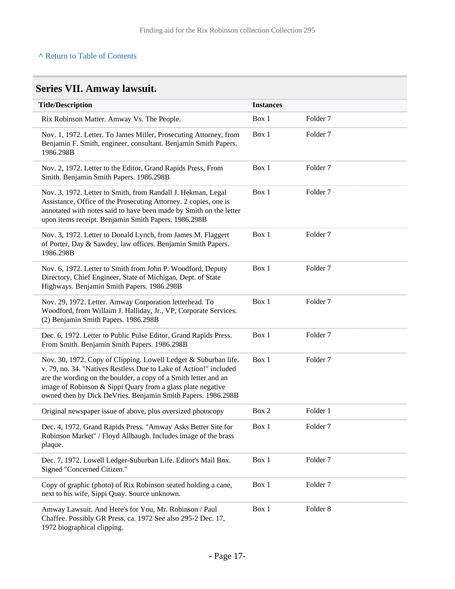### **^** [Return to Table of Contents](#page-1-0)

# <span id="page-16-0"></span>**Series VII. Amway lawsuit.**

| <b>Title/Description</b>                                                                                                                                                                                                                                                                                                               | <b>Instances</b> |                     |
|----------------------------------------------------------------------------------------------------------------------------------------------------------------------------------------------------------------------------------------------------------------------------------------------------------------------------------------|------------------|---------------------|
| Rix Robinson Matter. Amway Vs. The People.                                                                                                                                                                                                                                                                                             | Box 1            | Folder <sub>7</sub> |
| Nov. 1, 1972. Letter. To James Miller, Prosecuting Attorney, from<br>Benjamin F. Smith, engineer, consultant. Benjamin Smith Papers.<br>1986.298B                                                                                                                                                                                      | Box 1            | Folder <sub>7</sub> |
| Nov. 2, 1972. Letter to the Editor, Grand Rapids Press, From<br>Smith. Benjamin Smith Papers. 1986.298B                                                                                                                                                                                                                                | Box 1            | Folder <sub>7</sub> |
| Nov. 3, 1972. Letter to Smith, from Randall J. Hekman, Legal<br>Assistance, Office of the Prosecuting Attorney. 2 copies, one is<br>annotated with notes said to have been made by Smith on the letter<br>upon items receipt. Benjamin Smith Papers. 1986.298B                                                                         | Box 1            | Folder <sub>7</sub> |
| Nov. 3, 1972. Letter to Donald Lynch, from James M. Flaggert<br>of Porter, Day & Sawdey, law offices. Benjamin Smith Papers.<br>1986.298B                                                                                                                                                                                              | Box 1            | Folder <sub>7</sub> |
| Nov. 6, 1972. Letter to Smith from John P. Woodford, Deputy<br>Directory, Chief Engineer, State of Michigan, Dept. of State<br>Highways. Benjamin Smith Papers. 1986.298B                                                                                                                                                              | Box 1            | Folder <sub>7</sub> |
| Nov. 29, 1972. Letter. Amway Corporation letterhead. To<br>Woodford, from Willaim J. Halliday, Jr., VP, Corporate Services.<br>(2) Benjamin Smith Papers. 1986.298B                                                                                                                                                                    | Box 1            | Folder <sub>7</sub> |
| Dec. 6, 1972. Letter to Public Pulse Editor, Grand Rapids Press.<br>From Smith. Benjamin Smith Papers. 1986.298B                                                                                                                                                                                                                       | Box 1            | Folder <sub>7</sub> |
| Nov. 30, 1972. Copy of Clipping. Lowell Ledger & Suburban life.<br>v. 79, no. 34. "Natives Restless Due to Lake of Action!" included<br>are the wording on the boulder, a copy of a Smith letter and an<br>image of Robinson & Sippi Quary from a glass plate negative<br>owned then by Dick DeVries. Benjamin Smith Papers. 1986.298B | Box 1            | Folder <sub>7</sub> |
| Original newspaper issue of above, plus oversized photocopy                                                                                                                                                                                                                                                                            | Box 2            | Folder 1            |
| Dec. 4, 1972. Grand Rapids Press. "Amway Asks Better Site for<br>Robinson Market" / Floyd Allbaugh. Includes image of the brass<br>plaque.                                                                                                                                                                                             | Box 1            | Folder <sub>7</sub> |
| Dec. 7, 1972. Lowell Ledger-Suburban Life. Editor's Mail Box.<br>Signed "Concerned Citizen."                                                                                                                                                                                                                                           | Box 1            | Folder <sub>7</sub> |
| Copy of graphic (photo) of Rix Robinson seated holding a cane,<br>next to his wife, Sippi Quay. Source unknown.                                                                                                                                                                                                                        | Box 1            | Folder <sub>7</sub> |
| Amway Lawsuit. And Here's for You, Mr. Robinson / Paul<br>Chaffee. Possibly GR Press, ca. 1972 See also 295-2 Dec. 17,<br>1972 biographical clipping.                                                                                                                                                                                  | Box 1            | Folder <sub>8</sub> |